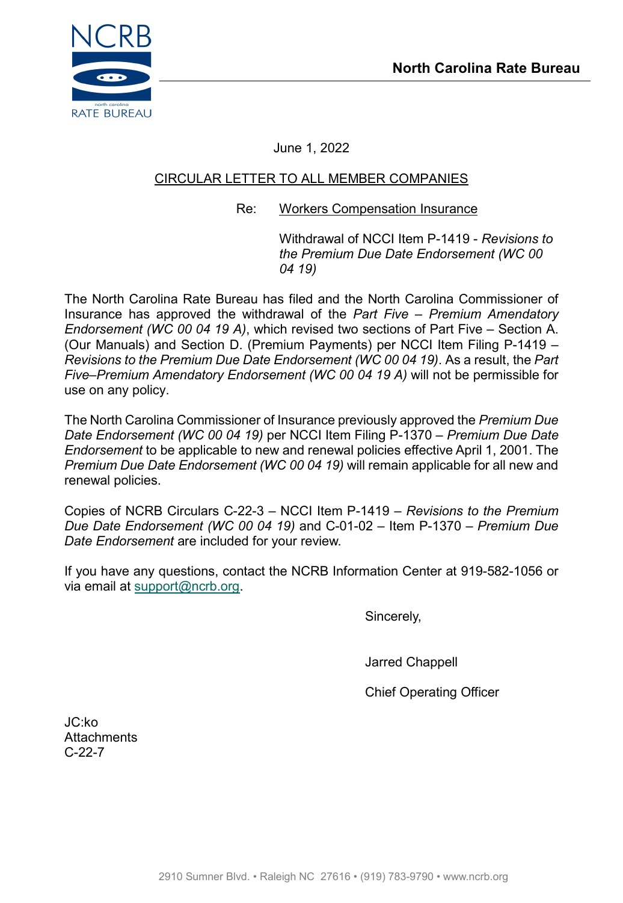

June 1, 2022

# CIRCULAR LETTER TO ALL MEMBER COMPANIES

## Re: Workers Compensation Insurance

Withdrawal of NCCI Item P-1419 - *Revisions to the Premium Due Date Endorsement (WC 00 04 19)*

The North Carolina Rate Bureau has filed and the North Carolina Commissioner of Insurance has approved the withdrawal of the *Part Five – Premium Amendatory Endorsement (WC 00 04 19 A)*, which revised two sections of Part Five – Section A. (Our Manuals) and Section D. (Premium Payments) per NCCI Item Filing P-1419 – *Revisions to the Premium Due Date Endorsement (WC 00 04 19)*. As a result, the *Part Five–Premium Amendatory Endorsement (WC 00 04 19 A)* will not be permissible for use on any policy.

The North Carolina Commissioner of Insurance previously approved the *Premium Due Date Endorsement (WC 00 04 19)* per NCCI Item Filing P-1370 – *Premium Due Date Endorsement* to be applicable to new and renewal policies effective April 1, 2001. The *Premium Due Date Endorsement (WC 00 04 19)* will remain applicable for all new and renewal policies.

Copies of NCRB Circulars C-22-3 – NCCI Item P-1419 – *Revisions to the Premium Due Date Endorsement (WC 00 04 19)* and C-01-02 – Item P-1370 – *Premium Due Date Endorsement* are included for your review.

If you have any questions, contact the NCRB Information Center at 919-582-1056 or via email at [support@ncrb.org.](mailto:support@ncrb.org)

Sincerely,

Jarred Chappell

Chief Operating Officer

JC:ko **Attachments** C-22-7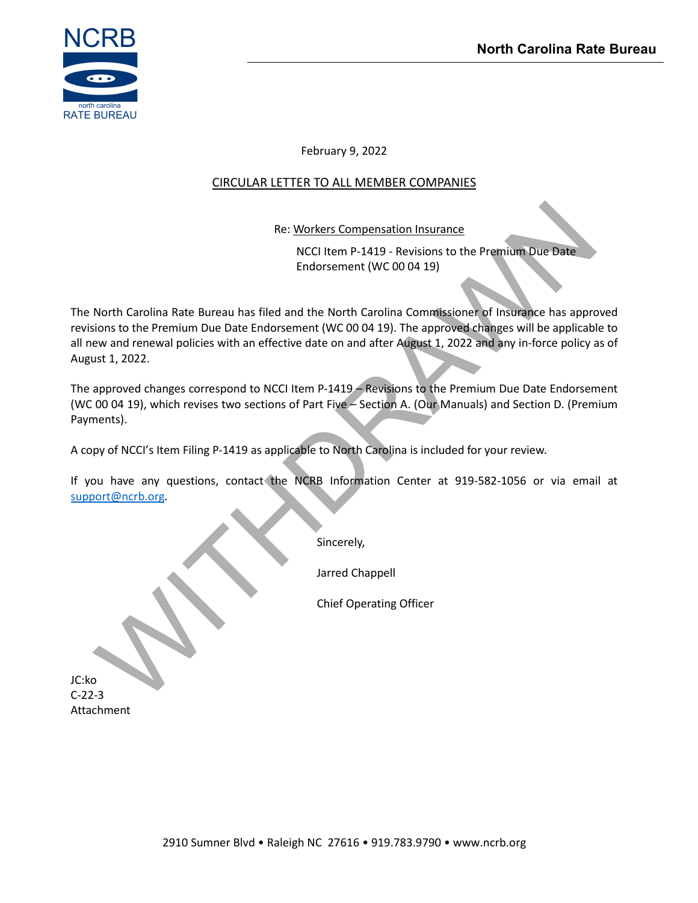

February 9, 2022

# CIRCULAR LETTER TO ALL MEMBER COMPANIES

Re: Workers Compensation Insurance

NCCI Item P-1419 - Revisions to the Premium Due Date Endorsement (WC 00 04 19)

Re: Workers Compensation Insurance<br>
MCCI Item P-1419 - Revisions to the Premium Due Date<br>
Endorsement (WC 00 04 19)<br>
North Carolina Rate Bureau has filed and the North Carolina Commissione of Insurance<br>
Now and renewal pol The North Carolina Rate Bureau has filed and the North Carolina Commissioner of Insurance has approved revisions to the Premium Due Date Endorsement (WC 00 04 19). The approved changes will be applicable to all new and renewal policies with an effective date on and after August 1, 2022 and any in-force policy as of August 1, 2022.

The approved changes correspond to NCCI Item P-1419 – Revisions to the Premium Due Date Endorsement (WC 00 04 19), which revises two sections of Part Five – Section A. (Our Manuals) and Section D. (Premium Payments).

A copy of NCCI's Item Filing P-1419 as applicable to North Carolina is included for your review.

If you have any questions, contact the NCRB Information Center at 919-582-1056 or via email at [support@ncrb.org.](mailto:support@ncrb.org)

Sincerely,

Jarred Chappell

Chief Operating Officer

JC:ko C-22-3 Attachment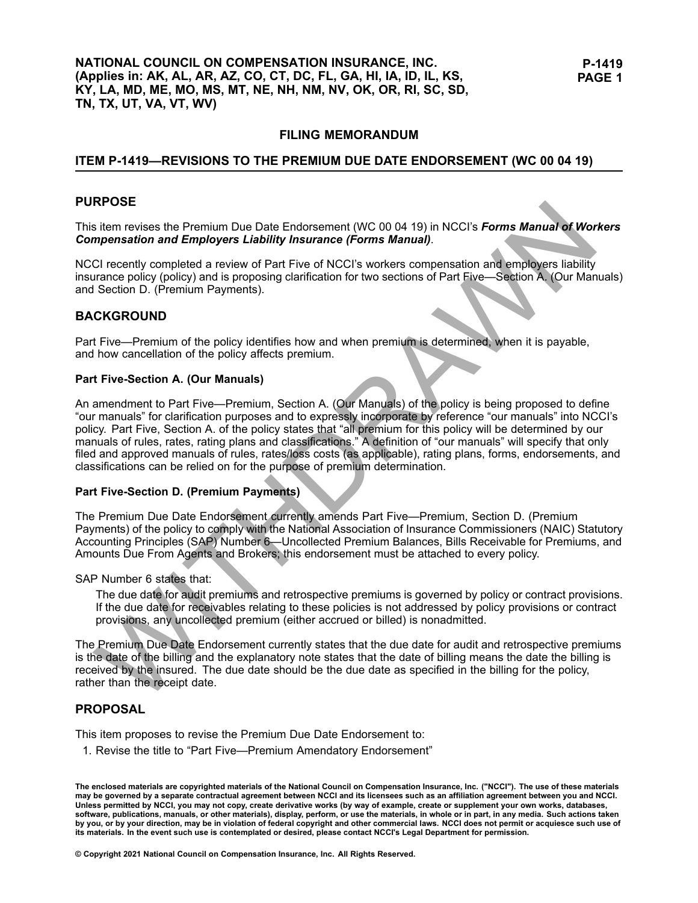### **ITEM P-1419-REVISIONS TO THE PREMIUM DUE DATE ENDORSEMENT (WC 00 04 19)**

#### **PURPOSE**

This item revises the Premium Due Date Endorsement (WC <sup>00</sup> <sup>04</sup> 19) in NCCI's *Forms Manual of Workers Compensation and Employers Liability Insurance (Forms Manual)*.

NCCI recently completed <sup>a</sup> review of Part Five of NCCI's workers compensation and employers liability insurance policy (policy) and is proposing clarification for two sections of Part Five—Section A. (Our Manuals) and Section D. (Premium Payments).

#### **BACKGROUND**

Part Five—Premium of the policy identifies how and when premium is determined, when it is payable, and how cancellation of the policy affects premium.

#### **Part Five-Section A. (Our Manuals)**

**EVOLUTE:**<br> **Example the State Premium Due Date Endorsement (WC 00 04 19) in NCCI's Forms Manual of Workers<br>
myensation and Employers Liability Insurance (Forms Manual).<br>
CI recently completed a review of Part Five of NCCI** An amendment to Part Five—Premium, Section A. (Our Manuals) of the policy is being proposed to define "our manuals" for clarification purposes and to expressly incorporate by reference "our manuals" into NCCI's policy. Part Five, Section A. of the policy states that "all premium for this policy will be determined by our manuals of rules, rates, rating plans and classifications." <sup>A</sup> definition of "our manuals" will specify that only filed and approved manuals of rules, rates/loss costs (as applicable), rating plans, forms, endorsements, and classifications can be relied on for the purpose of premium determination.

#### **Part Five-Section D. (Premium Payments)**

The Premium Due Date Endorsement currently amends Part Five—Premium, Section D. (Premium Payments) of the policy to comply with the National Association of Insurance Commissioners (NAIC) Statutory Accounting Principles (SAP) Number 6—Uncollected Premium Balances, Bills Receivable for Premiums, and Amounts Due From Agents and Brokers; this endorsement must be attached to every policy.

SAP Number <sup>6</sup> states that:

The due date for audit premiums and retrospective premiums is governed by policy or contract provisions. If the due date for receivables relating to these policies is not addressed by policy provisions or contract provisions, any uncollected premium (either accrued or billed) is nonadmitted.

The Premium Due Date Endorsement currently states that the due date for audit and retrospective premiums is the date of the billing and the explanatory note states that the date of billing means the date the billing is received by the insured. The due date should be the due date as specified in the billing for the policy, rather than the receipt date.

#### **PROPOSAL**

This item proposes to revise the Premium Due Date Endorsement to:

1. Revise the title to "Part Five—Premium Amendatory Endorsement"

© Copyright 2021 National Council on Compensation Insurance, Inc. All Rights Reserved.

The enclosed materials are copyrighted materials of the National Council on Compensation Insurance, Inc. ("NCCI"). The use of these materials<br>may be governed by a separate contractual agreement between NCCI and its license Unless permitted by NCCI, you may not copy, create derivative works (by way of example, create or supplement your own works, databases, software, publications, manuals, or other materials), display, perform, or use the materials, in whole or in part, in any media. Such actions taken by you, or by your direction, may be in violation of federal copyright and other commercial laws. NCCI does not permit or acquiesce such use of its materials. In the event such use is contemplated or desired, please contact NCCI's Legal Department for permission.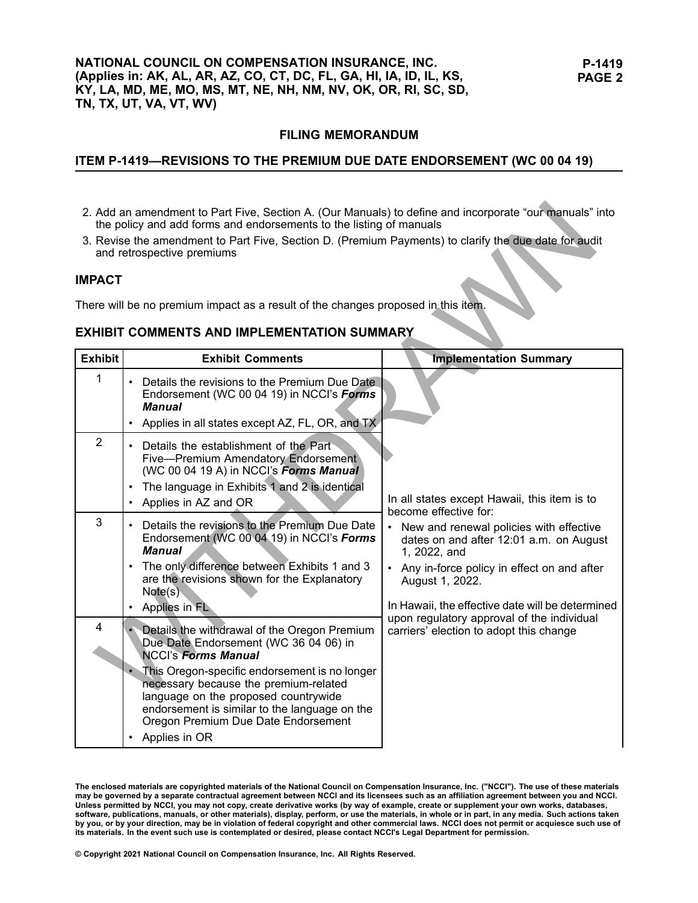## ITEM P-1419-REVISIONS TO THE PREMIUM DUE DATE ENDORSEMENT (WC 00 04 19)

- 2. Add an amendment to Part Five, Section A. (Our Manuals) to define and incorporate "our manuals" into the policy and add forms and endorsements to the listing of manuals
- 3. Revise the amendment to Part Five, Section D. (Premium Payments) to clarify the due date for audit and retrospective premiums

#### **IMPACT**

## **EXHIBIT COMMENTS AND IMPLEMENTATION SUMMARY**

| 2. Add an amendment to Part Five, Section A. (Our Manuals) to define and incorporate "our manuals" into<br>the policy and add forms and endorsements to the listing of manuals<br>3. Revise the amendment to Part Five, Section D. (Premium Payments) to clarify the due date for audit<br>and retrospective premiums<br><b>IMPACT</b><br>There will be no premium impact as a result of the changes proposed in this item.<br><b>EXHIBIT COMMENTS AND IMPLEMENTATION SUMMARY</b> |                                                                                                                                                                                                                                                                                                                                                                |                                                                                                                                                                                                                                                                                                                                                                                               |  |
|-----------------------------------------------------------------------------------------------------------------------------------------------------------------------------------------------------------------------------------------------------------------------------------------------------------------------------------------------------------------------------------------------------------------------------------------------------------------------------------|----------------------------------------------------------------------------------------------------------------------------------------------------------------------------------------------------------------------------------------------------------------------------------------------------------------------------------------------------------------|-----------------------------------------------------------------------------------------------------------------------------------------------------------------------------------------------------------------------------------------------------------------------------------------------------------------------------------------------------------------------------------------------|--|
| <b>Exhibit</b>                                                                                                                                                                                                                                                                                                                                                                                                                                                                    | <b>Exhibit Comments</b>                                                                                                                                                                                                                                                                                                                                        | <b>Implementation Summary</b>                                                                                                                                                                                                                                                                                                                                                                 |  |
| 1                                                                                                                                                                                                                                                                                                                                                                                                                                                                                 | Details the revisions to the Premium Due Date<br>Endorsement (WC 00 04 19) in NCCI's Forms<br>Manual<br>Applies in all states except AZ, FL, OR, and TX                                                                                                                                                                                                        |                                                                                                                                                                                                                                                                                                                                                                                               |  |
| $\overline{2}$                                                                                                                                                                                                                                                                                                                                                                                                                                                                    | Details the establishment of the Part<br>Five-Premium Amendatory Endorsement<br>(WC 00 04 19 A) in NCCI's Forms Manual<br>The language in Exhibits 1 and 2 is identical<br>Applies in AZ and OR                                                                                                                                                                | In all states except Hawaii, this item is to<br>become effective for:<br>• New and renewal policies with effective<br>dates on and after 12:01 a.m. on August<br>1, 2022, and<br>• Any in-force policy in effect on and after<br>August 1, 2022.<br>In Hawaii, the effective date will be determined<br>upon regulatory approval of the individual<br>carriers' election to adopt this change |  |
| 3                                                                                                                                                                                                                                                                                                                                                                                                                                                                                 | Details the revisions to the Premium Due Date<br>Endorsement (WC 00 04 19) in NCCl's Forms<br>Manual<br>The only difference between Exhibits 1 and 3<br>are the revisions shown for the Explanatory<br>Note(s)<br>Applies in FL                                                                                                                                |                                                                                                                                                                                                                                                                                                                                                                                               |  |
| $\overline{4}$                                                                                                                                                                                                                                                                                                                                                                                                                                                                    | Details the withdrawal of the Oregon Premium<br>Due Date Endorsement (WC 36 04 06) in<br><b>NCCI's Forms Manual</b><br>This Oregon-specific endorsement is no longer<br>necessary because the premium-related<br>language on the proposed countrywide<br>endorsement is similar to the language on the<br>Oregon Premium Due Date Endorsement<br>Applies in OR |                                                                                                                                                                                                                                                                                                                                                                                               |  |

The enclosed materials are copyrighted materials of the National Council on Compensation Insurance, Inc. ("NCCI"). The use of these materials<br>may be governed by a separate contractual agreement between NCCI and its license Unless permitted by NCCI, you may not copy, create derivative works (by way of example, create or supplement your own works, databases, software, publications, manuals, or other materials), display, perform, or use the materials, in whole or in part, in any media. Such actions taken by you, or by your direction, may be in violation of federal copyright and other commercial laws. NCCI does not permit or acquiesce such use of its materials. In the event such use is contemplated or desired, please contact NCCI's Legal Department for permission.

© Copyright 2021 National Council on Compensation Insurance, Inc. All Rights Reserved.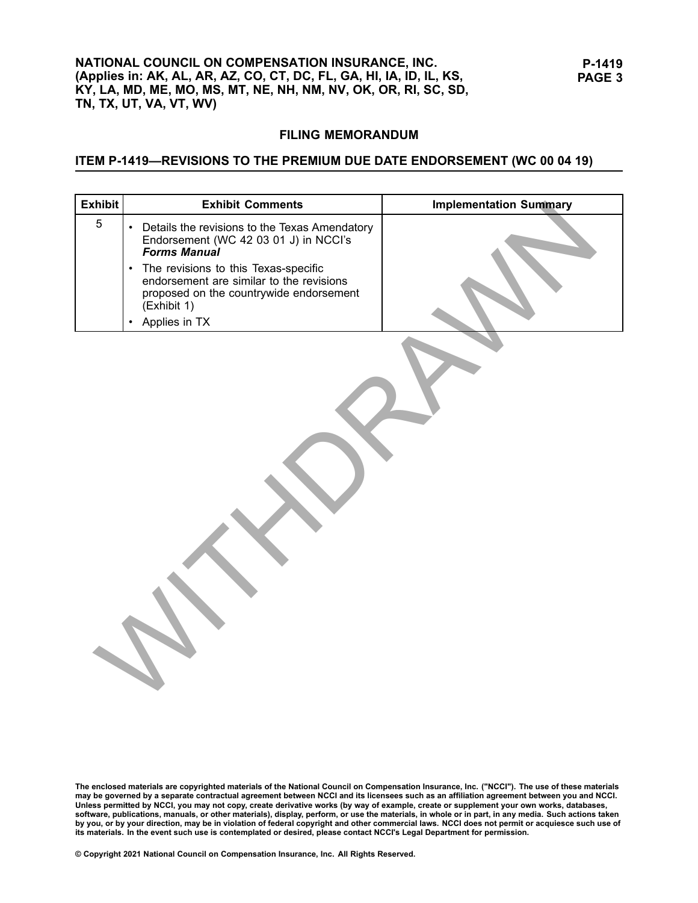## ITEM P-1419-REVISIONS TO THE PREMIUM DUE DATE ENDORSEMENT (WC 00 04 19)

| <b>Exhibit</b> | <b>Exhibit Comments</b>                                                                                                                                                    | <b>Implementation Summary</b> |
|----------------|----------------------------------------------------------------------------------------------------------------------------------------------------------------------------|-------------------------------|
| 5              | • Details the revisions to the Texas Amendatory<br>Endorsement (WC 42 03 01 J) in NCCI's<br><b>Forms Manual</b>                                                            |                               |
|                | The revisions to this Texas-specific<br>$\bullet$<br>endorsement are similar to the revisions<br>proposed on the countrywide endorsement<br>(Exhibit 1)<br>• Applies in TX |                               |
|                |                                                                                                                                                                            |                               |

© Copyright 2021 National Council on Compensation Insurance, Inc. All Rights Reserved.

The enclosed materials are copyrighted materials of the National Council on Compensation Insurance, Inc. ("NCCI"). The use of these materials<br>may be governed by a separate contractual agreement between NCCI and its license its materials. In the event such use is contemplated or desired, please contact NCCI's Legal Department for permission.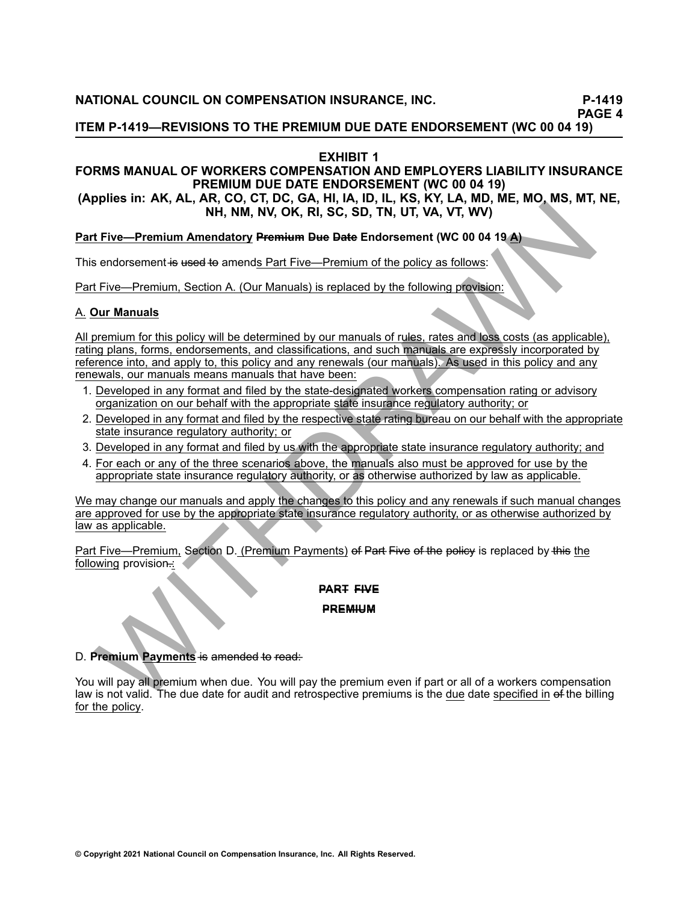**PAGE <sup>4</sup>**

**ITEM P-1419—REVISIONS TO THE PREMIUM DUE DATE ENDORSEMENT (WC 00 04 19)** 

## **EXHIBIT <sup>1</sup>**

## **FORMS MANUAL OF WORKERS COMPENSATION AND EMPLOYERS LIABILITY INSURANCE PREMIUM DUE DATE ENDORSEMENT (WC <sup>00</sup> <sup>04</sup> 19)**

(Applies in: AK, AL, AR, CO, CT, DC, GA, HI, IA, ID, IL, KS, KY, LA, MD, ME, MO, MS, MT, NE, **NH, NM, NV, OK, RI, SC, SD, TN, UT, VA, VT, WV)**

Part Five-Premium Amendatory Premium Due Date Endorsement (WC 00 04 19 A)

This endorsement is used to amends Part Five—Premium of the policy as follows:

Part Five—Premium, Section A. (Our Manuals) is replaced by the following provision:

## A. **Our Manuals**

WITHDRAWN All premium for this policy will be determined by our manuals of rules, rates and loss costs (as applicable), rating plans, forms, endorsements, and classifications, and such manuals are expressly incorporated by reference into, and apply to, this policy and any renewals (our manuals). As used in this policy and any renewals, our manuals means manuals that have been:

- 1. Developed in any format and filed by the state-designated workers compensation rating or advisory organization on our behalf with the appropriate state insurance regulatory authority; or
- 2. Developed in any format and filed by the respective state rating bureau on our behalf with the appropriate state insurance regulatory authority; or
- 3. Developed in any format and filed by us with the appropriate state insurance regulatory authority; and
- 4. For each or any of the three scenarios above, the manuals also must be approved for use by the appropriate state insurance regulatory authority, or as otherwise authorized by law as applicable.

We may change our manuals and apply the changes to this policy and any renewals if such manual changes are approved for use by the appropriate state insurance regulatory authority, or as otherwise authorized by law as applicable.

Part Five—Premium, Section D. (Premium Payments) of Part Five of the policy is replaced by this the following provision...

### **PART FIVE**

#### **P–R–E–M–I–U–M–**

#### D. **Premium Payments** is amended to read:

You will pay all premium when due. You will pay the premium even if part or all of <sup>a</sup> workers compensation law is not valid. The due date for audit and retrospective premiums is the due date specified in of the billing for the policy.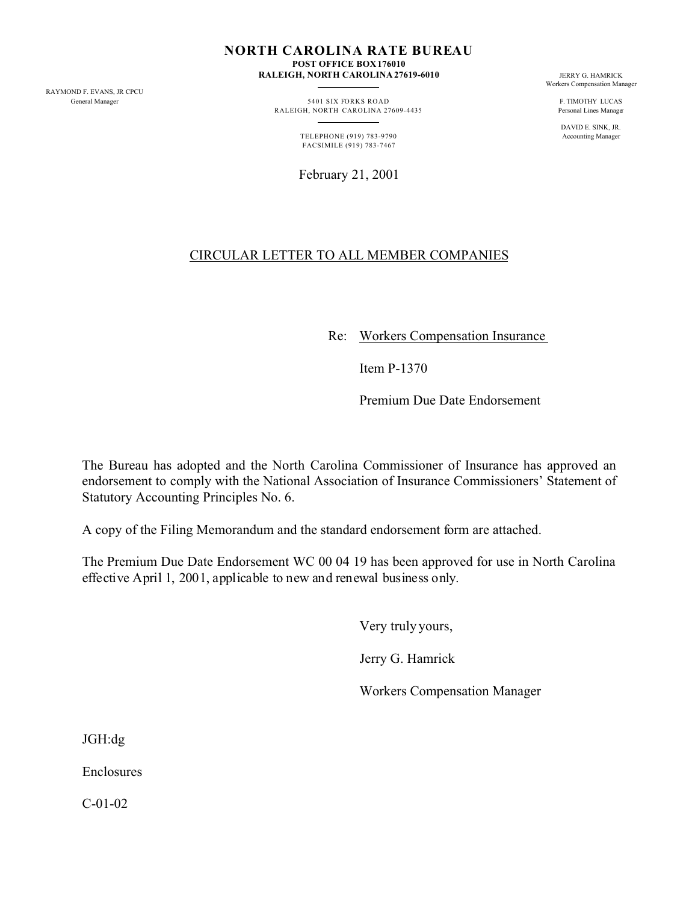RAYMOND F. EVANS, JR CPCU

**NORTH CAROLINA RATE BUREAU POST OFFICE BOX 176010**

**RALEIGH, NORTH CAROLINA 27619-6010** JERRY G. HAMRICK

General Manager **5401 SIX FORKS ROAD** F. TIMOTHY LUCAS RALEIGH, NORTH CAROLINA 27609-4435 Personal Lines Manager

> TELEPHONE (919) 783-9790 FACSIMILE (919) 783-7467

> February 21, 2001

Workers Compensation Manager

DAVID E. SINK, JR.

# CIRCULAR LETTER TO ALL MEMBER COMPANIES

Re: Workers Compensation Insurance

Item P-1370

Premium Due Date Endorsement

The Bureau has adopted and the North Carolina Commissioner of Insurance has approved an endorsement to comply with the National Association of Insurance Commissioners' Statement of Statutory Accounting Principles No. 6.

A copy of the Filing Memorandum and the standard endorsement form are attached.

The Premium Due Date Endorsement WC 00 04 19 has been approved for use in North Carolina effective April 1, 2001, applicable to new and renewal business only.

Very truly yours,

Jerry G. Hamrick

Workers Compensation Manager

JGH:dg

Enclosures

C-01-02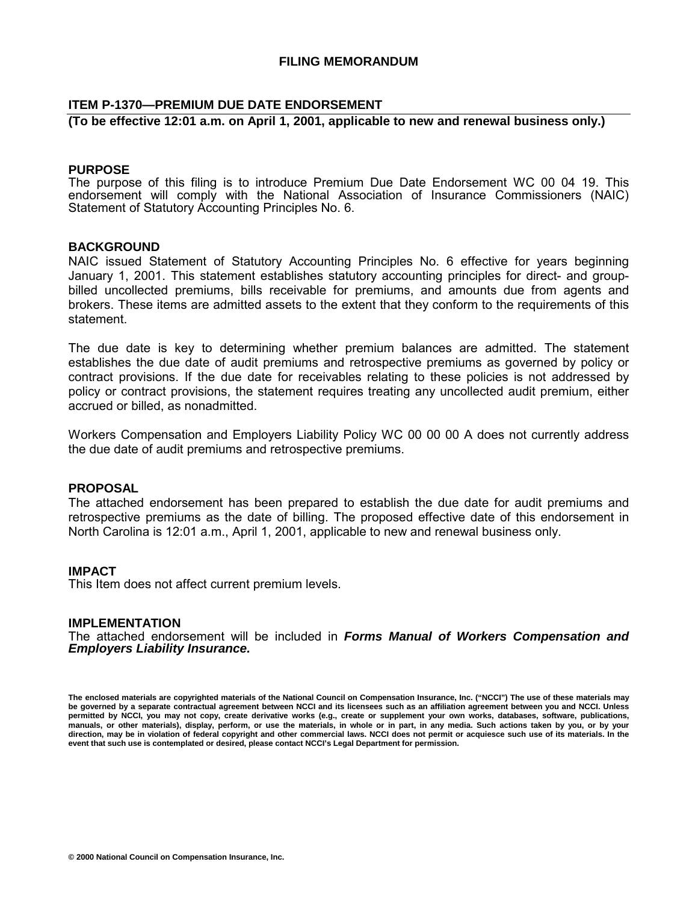## **ITEM P-1370—PREMIUM DUE DATE ENDORSEMENT**

## **(To be effective 12:01 a.m. on April 1, 2001, applicable to new and renewal business only.)**

## **PURPOSE**

The purpose of this filing is to introduce Premium Due Date Endorsement WC 00 04 19. This endorsement will comply with the National Association of Insurance Commissioners (NAIC) Statement of Statutory Accounting Principles No. 6.

## **BACKGROUND**

NAIC issued Statement of Statutory Accounting Principles No. 6 effective for years beginning January 1, 2001. This statement establishes statutory accounting principles for direct- and groupbilled uncollected premiums, bills receivable for premiums, and amounts due from agents and brokers. These items are admitted assets to the extent that they conform to the requirements of this statement.

The due date is key to determining whether premium balances are admitted. The statement establishes the due date of audit premiums and retrospective premiums as governed by policy or contract provisions. If the due date for receivables relating to these policies is not addressed by policy or contract provisions, the statement requires treating any uncollected audit premium, either accrued or billed, as nonadmitted.

Workers Compensation and Employers Liability Policy WC 00 00 00 A does not currently address the due date of audit premiums and retrospective premiums.

## **PROPOSAL**

The attached endorsement has been prepared to establish the due date for audit premiums and retrospective premiums as the date of billing. The proposed effective date of this endorsement in North Carolina is 12:01 a.m., April 1, 2001, applicable to new and renewal business only.

#### **IMPACT**

This Item does not affect current premium levels.

#### **IMPLEMENTATION**

The attached endorsement will be included in *Forms Manual of Workers Compensation and Employers Liability Insurance.* 

**The enclosed materials are copyrighted materials of the National Council on Compensation Insurance, Inc. ("NCCI") The use of these materials may be governed by a separate contractual agreement between NCCI and its licensees such as an affiliation agreement between you and NCCI. Unless permitted by NCCI, you may not copy, create derivative works (e.g., create or supplement your own works, databases, software, publications, manuals, or other materials), display, perform, or use the materials, in whole or in part, in any media. Such actions taken by you, or by your direction, may be in violation of federal copyright and other commercial laws. NCCI does not permit or acquiesce such use of its materials. In the event that such use is contemplated or desired, please contact NCCI's Legal Department for permission.**